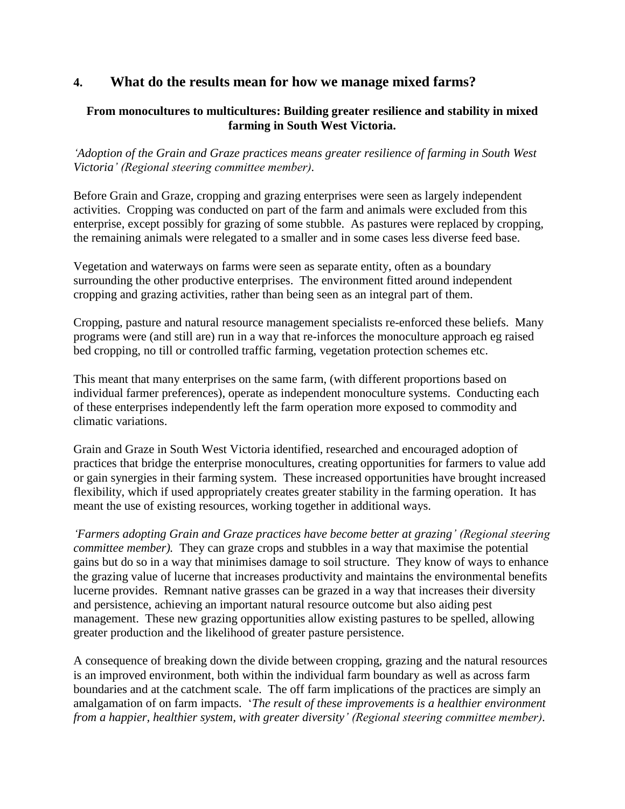# **4. What do the results mean for how we manage mixed farms?**

### **From monocultures to multicultures: Building greater resilience and stability in mixed farming in South West Victoria.**

*'Adoption of the Grain and Graze practices means greater resilience of farming in South West Victoria' (Regional steering committee member).* 

Before Grain and Graze, cropping and grazing enterprises were seen as largely independent activities. Cropping was conducted on part of the farm and animals were excluded from this enterprise, except possibly for grazing of some stubble. As pastures were replaced by cropping, the remaining animals were relegated to a smaller and in some cases less diverse feed base.

Vegetation and waterways on farms were seen as separate entity, often as a boundary surrounding the other productive enterprises. The environment fitted around independent cropping and grazing activities, rather than being seen as an integral part of them.

Cropping, pasture and natural resource management specialists re-enforced these beliefs. Many programs were (and still are) run in a way that re-inforces the monoculture approach eg raised bed cropping, no till or controlled traffic farming, vegetation protection schemes etc.

This meant that many enterprises on the same farm, (with different proportions based on individual farmer preferences), operate as independent monoculture systems. Conducting each of these enterprises independently left the farm operation more exposed to commodity and climatic variations.

Grain and Graze in South West Victoria identified, researched and encouraged adoption of practices that bridge the enterprise monocultures, creating opportunities for farmers to value add or gain synergies in their farming system. These increased opportunities have brought increased flexibility, which if used appropriately creates greater stability in the farming operation. It has meant the use of existing resources, working together in additional ways.

*'Farmers adopting Grain and Graze practices have become better at grazing' (Regional steering committee member).* They can graze crops and stubbles in a way that maximise the potential gains but do so in a way that minimises damage to soil structure. They know of ways to enhance the grazing value of lucerne that increases productivity and maintains the environmental benefits lucerne provides. Remnant native grasses can be grazed in a way that increases their diversity and persistence, achieving an important natural resource outcome but also aiding pest management. These new grazing opportunities allow existing pastures to be spelled, allowing greater production and the likelihood of greater pasture persistence.

A consequence of breaking down the divide between cropping, grazing and the natural resources is an improved environment, both within the individual farm boundary as well as across farm boundaries and at the catchment scale. The off farm implications of the practices are simply an amalgamation of on farm impacts. '*The result of these improvements is a healthier environment from a happier, healthier system, with greater diversity' (Regional steering committee member).*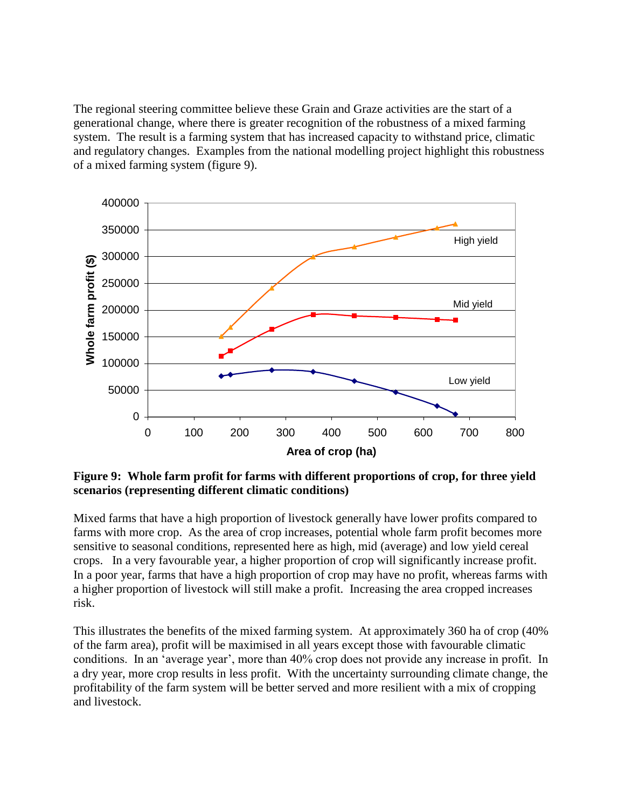The regional steering committee believe these Grain and Graze activities are the start of a generational change, where there is greater recognition of the robustness of a mixed farming system. The result is a farming system that has increased capacity to withstand price, climatic and regulatory changes. Examples from the national modelling project highlight this robustness of a mixed farming system (figure 9).



**Figure 9: Whole farm profit for farms with different proportions of crop, for three yield scenarios (representing different climatic conditions)** 

Mixed farms that have a high proportion of livestock generally have lower profits compared to farms with more crop. As the area of crop increases, potential whole farm profit becomes more sensitive to seasonal conditions, represented here as high, mid (average) and low yield cereal crops. In a very favourable year, a higher proportion of crop will significantly increase profit. In a poor year, farms that have a high proportion of crop may have no profit, whereas farms with a higher proportion of livestock will still make a profit. Increasing the area cropped increases risk.

This illustrates the benefits of the mixed farming system. At approximately 360 ha of crop (40% of the farm area), profit will be maximised in all years except those with favourable climatic conditions. In an 'average year', more than 40% crop does not provide any increase in profit. In a dry year, more crop results in less profit. With the uncertainty surrounding climate change, the profitability of the farm system will be better served and more resilient with a mix of cropping and livestock.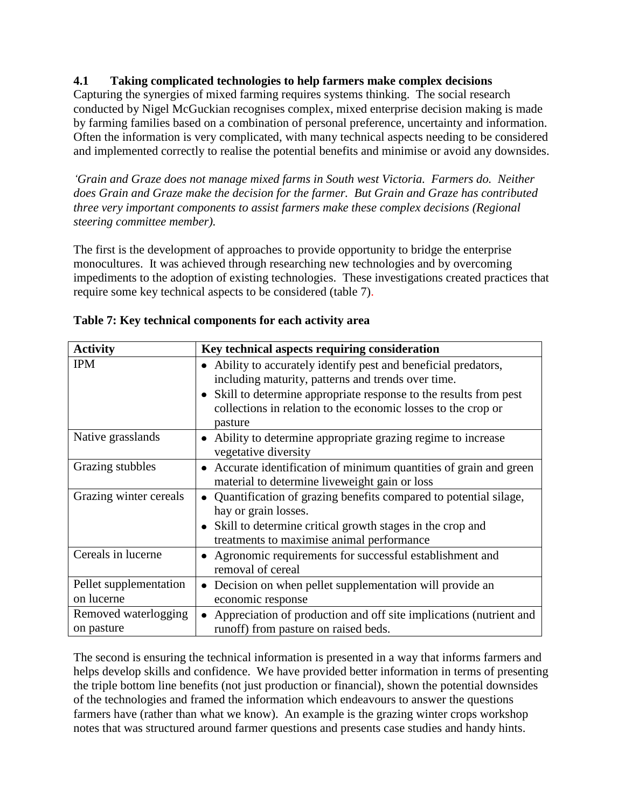#### **4.1 Taking complicated technologies to help farmers make complex decisions**

Capturing the synergies of mixed farming requires systems thinking. The social research conducted by Nigel McGuckian recognises complex, mixed enterprise decision making is made by farming families based on a combination of personal preference, uncertainty and information. Often the information is very complicated, with many technical aspects needing to be considered and implemented correctly to realise the potential benefits and minimise or avoid any downsides.

*'Grain and Graze does not manage mixed farms in South west Victoria. Farmers do. Neither does Grain and Graze make the decision for the farmer. But Grain and Graze has contributed three very important components to assist farmers make these complex decisions (Regional steering committee member).* 

The first is the development of approaches to provide opportunity to bridge the enterprise monocultures. It was achieved through researching new technologies and by overcoming impediments to the adoption of existing technologies. These investigations created practices that require some key technical aspects to be considered (table 7).

| <b>Activity</b>                      | Key technical aspects requiring consideration                                                                                                                                                                                                                                                 |
|--------------------------------------|-----------------------------------------------------------------------------------------------------------------------------------------------------------------------------------------------------------------------------------------------------------------------------------------------|
| <b>IPM</b>                           | Ability to accurately identify pest and beneficial predators,<br>$\bullet$<br>including maturity, patterns and trends over time.<br>Skill to determine appropriate response to the results from pest<br>$\bullet$<br>collections in relation to the economic losses to the crop or<br>pasture |
| Native grasslands                    | Ability to determine appropriate grazing regime to increase<br>٠<br>vegetative diversity                                                                                                                                                                                                      |
| Grazing stubbles                     | Accurate identification of minimum quantities of grain and green<br>$\bullet$<br>material to determine liveweight gain or loss                                                                                                                                                                |
| Grazing winter cereals               | Quantification of grazing benefits compared to potential silage,<br>hay or grain losses.<br>Skill to determine critical growth stages in the crop and<br>treatments to maximise animal performance                                                                                            |
| Cereals in lucerne                   | Agronomic requirements for successful establishment and<br>٠<br>removal of cereal                                                                                                                                                                                                             |
| Pellet supplementation<br>on lucerne | Decision on when pellet supplementation will provide an<br>economic response                                                                                                                                                                                                                  |
| Removed waterlogging<br>on pasture   | Appreciation of production and off site implications (nutrient and<br>runoff) from pasture on raised beds.                                                                                                                                                                                    |

|  | Table 7: Key technical components for each activity area |
|--|----------------------------------------------------------|
|  |                                                          |

The second is ensuring the technical information is presented in a way that informs farmers and helps develop skills and confidence. We have provided better information in terms of presenting the triple bottom line benefits (not just production or financial), shown the potential downsides of the technologies and framed the information which endeavours to answer the questions farmers have (rather than what we know). An example is the grazing winter crops workshop notes that was structured around farmer questions and presents case studies and handy hints.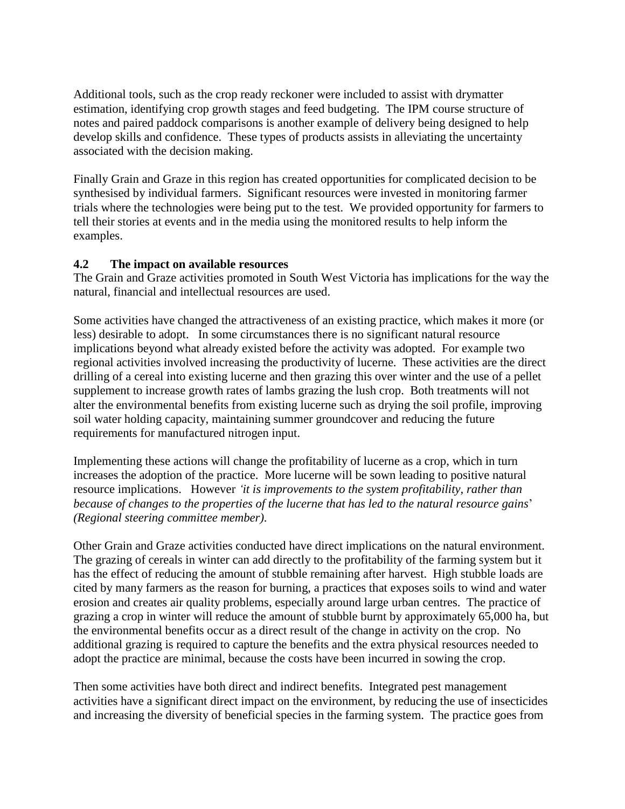Additional tools, such as the crop ready reckoner were included to assist with drymatter estimation, identifying crop growth stages and feed budgeting. The IPM course structure of notes and paired paddock comparisons is another example of delivery being designed to help develop skills and confidence. These types of products assists in alleviating the uncertainty associated with the decision making.

Finally Grain and Graze in this region has created opportunities for complicated decision to be synthesised by individual farmers. Significant resources were invested in monitoring farmer trials where the technologies were being put to the test. We provided opportunity for farmers to tell their stories at events and in the media using the monitored results to help inform the examples.

#### **4.2 The impact on available resources**

The Grain and Graze activities promoted in South West Victoria has implications for the way the natural, financial and intellectual resources are used.

Some activities have changed the attractiveness of an existing practice, which makes it more (or less) desirable to adopt. In some circumstances there is no significant natural resource implications beyond what already existed before the activity was adopted. For example two regional activities involved increasing the productivity of lucerne. These activities are the direct drilling of a cereal into existing lucerne and then grazing this over winter and the use of a pellet supplement to increase growth rates of lambs grazing the lush crop. Both treatments will not alter the environmental benefits from existing lucerne such as drying the soil profile, improving soil water holding capacity, maintaining summer groundcover and reducing the future requirements for manufactured nitrogen input.

Implementing these actions will change the profitability of lucerne as a crop, which in turn increases the adoption of the practice. More lucerne will be sown leading to positive natural resource implications. However *'it is improvements to the system profitability, rather than because of changes to the properties of the lucerne that has led to the natural resource gains*' *(Regional steering committee member).* 

Other Grain and Graze activities conducted have direct implications on the natural environment. The grazing of cereals in winter can add directly to the profitability of the farming system but it has the effect of reducing the amount of stubble remaining after harvest. High stubble loads are cited by many farmers as the reason for burning, a practices that exposes soils to wind and water erosion and creates air quality problems, especially around large urban centres. The practice of grazing a crop in winter will reduce the amount of stubble burnt by approximately 65,000 ha, but the environmental benefits occur as a direct result of the change in activity on the crop. No additional grazing is required to capture the benefits and the extra physical resources needed to adopt the practice are minimal, because the costs have been incurred in sowing the crop.

Then some activities have both direct and indirect benefits. Integrated pest management activities have a significant direct impact on the environment, by reducing the use of insecticides and increasing the diversity of beneficial species in the farming system. The practice goes from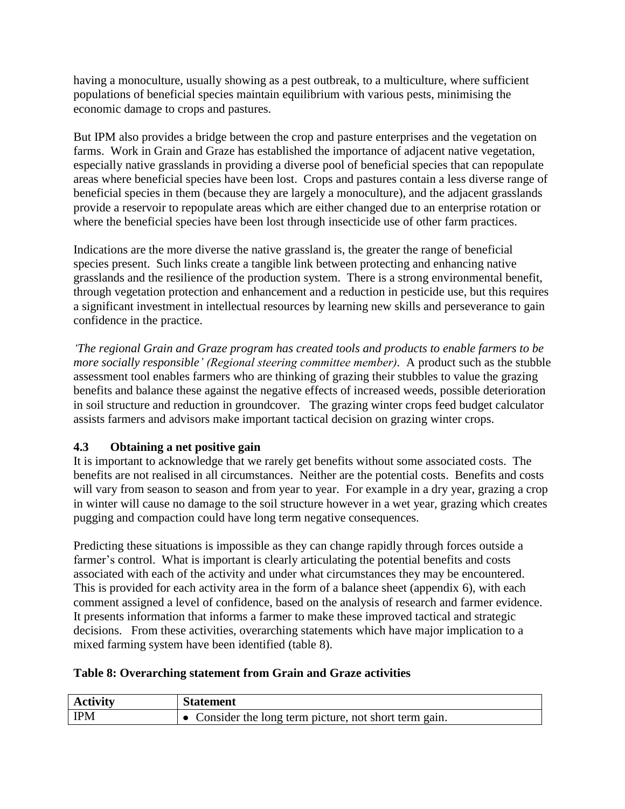having a monoculture, usually showing as a pest outbreak, to a multiculture, where sufficient populations of beneficial species maintain equilibrium with various pests, minimising the economic damage to crops and pastures.

But IPM also provides a bridge between the crop and pasture enterprises and the vegetation on farms. Work in Grain and Graze has established the importance of adjacent native vegetation, especially native grasslands in providing a diverse pool of beneficial species that can repopulate areas where beneficial species have been lost. Crops and pastures contain a less diverse range of beneficial species in them (because they are largely a monoculture), and the adjacent grasslands provide a reservoir to repopulate areas which are either changed due to an enterprise rotation or where the beneficial species have been lost through insecticide use of other farm practices.

Indications are the more diverse the native grassland is, the greater the range of beneficial species present. Such links create a tangible link between protecting and enhancing native grasslands and the resilience of the production system. There is a strong environmental benefit, through vegetation protection and enhancement and a reduction in pesticide use, but this requires a significant investment in intellectual resources by learning new skills and perseverance to gain confidence in the practice.

*'The regional Grain and Graze program has created tools and products to enable farmers to be more socially responsible' (Regional steering committee member).* A product such as the stubble assessment tool enables farmers who are thinking of grazing their stubbles to value the grazing benefits and balance these against the negative effects of increased weeds, possible deterioration in soil structure and reduction in groundcover. The grazing winter crops feed budget calculator assists farmers and advisors make important tactical decision on grazing winter crops.

## **4.3 Obtaining a net positive gain**

It is important to acknowledge that we rarely get benefits without some associated costs. The benefits are not realised in all circumstances. Neither are the potential costs. Benefits and costs will vary from season to season and from year to year. For example in a dry year, grazing a crop in winter will cause no damage to the soil structure however in a wet year, grazing which creates pugging and compaction could have long term negative consequences.

Predicting these situations is impossible as they can change rapidly through forces outside a farmer's control. What is important is clearly articulating the potential benefits and costs associated with each of the activity and under what circumstances they may be encountered. This is provided for each activity area in the form of a balance sheet (appendix 6), with each comment assigned a level of confidence, based on the analysis of research and farmer evidence. It presents information that informs a farmer to make these improved tactical and strategic decisions. From these activities, overarching statements which have major implication to a mixed farming system have been identified (table 8).

### **Table 8: Overarching statement from Grain and Graze activities**

| <b>Activity</b> | <b>Statement</b>                                     |
|-----------------|------------------------------------------------------|
| <b>IPM</b>      | Consider the long term picture, not short term gain. |